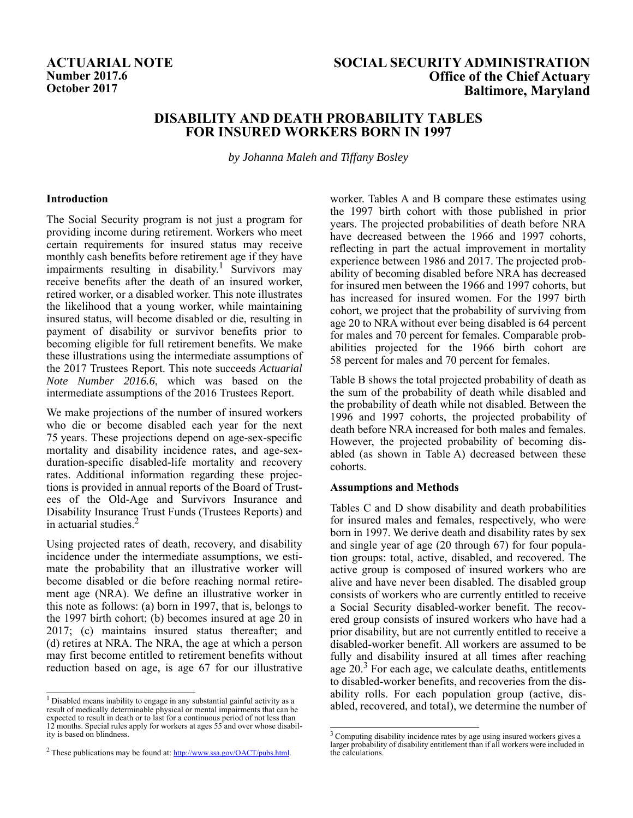# **Number 2017.6**<br>**October 2017**

## **ACTUARIAL NOTE SOCIAL SECURITY ADMINISTRATION Office of the Chief Actuary Baltimore, Maryland**

# **DISABILITY AND DEATH PROBABILITY TABLES FOR INSURED WORKERS BORN IN 1997**

*by Johanna Maleh and Tiffany Bosley*

#### **Introduction**

The Social Security program is not just a program for providing income during retirement. Workers who meet certain requirements for insured status may receive monthly cash benefits before retirement age if they have impairments resulting in disability.<sup>1</sup> Survivors may receive benefits after the death of an insured worker, retired worker, or a disabled worker. This note illustrates the likelihood that a young worker, while maintaining insured status, will become disabled or die, resulting in payment of disability or survivor benefits prior to becoming eligible for full retirement benefits. We make these illustrations using the intermediate assumptions of the 2017 Trustees Report. This note succeeds *Actuarial Note Number 2016.6*, which was based on the intermediate assumptions of the 2016 Trustees Report.

We make projections of the number of insured workers who die or become disabled each year for the next 75 years. These projections depend on age-sex-specific mortality and disability incidence rates, and age-sexduration-specific disabled-life mortality and recovery rates. Additional information regarding these projections is provided in annual reports of the Board of Trustees of the Old-Age and Survivors Insurance and Disability Insurance Trust Funds (Trustees Reports) and in actuarial studies.2

Using projected rates of death, recovery, and disability incidence under the intermediate assumptions, we estimate the probability that an illustrative worker will become disabled or die before reaching normal retirement age (NRA). We define an illustrative worker in this note as follows: (a) born in 1997, that is, belongs to the 1997 birth cohort; (b) becomes insured at age 20 in 2017; (c) maintains insured status thereafter; and (d) retires at NRA. The NRA, the age at which a person may first become entitled to retirement benefits without reduction based on age, is age 67 for our illustrative

worker. Tables A and B compare these estimates using the 1997 birth cohort with those published in prior years. The projected probabilities of death before NRA have decreased between the 1966 and 1997 cohorts, reflecting in part the actual improvement in mortality experience between 1986 and 2017. The projected probability of becoming disabled before NRA has decreased for insured men between the 1966 and 1997 cohorts, but has increased for insured women. For the 1997 birth cohort, we project that the probability of surviving from age 20 to NRA without ever being disabled is 64 percent for males and 70 percent for females. Comparable probabilities projected for the 1966 birth cohort are 58 percent for males and 70 percent for females.

Table B shows the total projected probability of death as the sum of the probability of death while disabled and the probability of death while not disabled. Between the 1996 and 1997 cohorts, the projected probability of death before NRA increased for both males and females. However, the projected probability of becoming disabled (as shown in Table A) decreased between these cohorts.

#### **Assumptions and Methods**

Tables C and D show disability and death probabilities for insured males and females, respectively, who were born in 1997. We derive death and disability rates by sex and single year of age (20 through 67) for four population groups: total, active, disabled, and recovered. The active group is composed of insured workers who are alive and have never been disabled. The disabled group consists of workers who are currently entitled to receive a Social Security disabled-worker benefit. The recovered group consists of insured workers who have had a prior disability, but are not currently entitled to receive a disabled-worker benefit. All workers are assumed to be fully and disability insured at all times after reaching age  $20.<sup>3</sup>$  For each age, we calculate deaths, entitlements to disabled-worker benefits, and recoveries from the disability rolls. For each population group (active, dis-

 $\frac{1}{1}$  Disabled means inability to engage in any substantial gainful activity as a result of medically determinable physical or mental impairments that can be  $\frac{1}{1}$  abled, recovered, and total), we determine the nu expected to result in death or to last for a continuous period of not less than 12 months. Special rules apply for workers at ages 55 and over whose disability is based on blindness.

<sup>&</sup>lt;sup>2</sup> These publications may be found at:  $\frac{http://www.ssa.gov/OACT/pubs.html}{http://www.ssa.gov/OACT/pubs.html}$ .

<sup>&</sup>lt;sup>3</sup> Computing disability incidence rates by age using insured workers gives a larger probability of disability entitlement than if all workers were included in the calculations.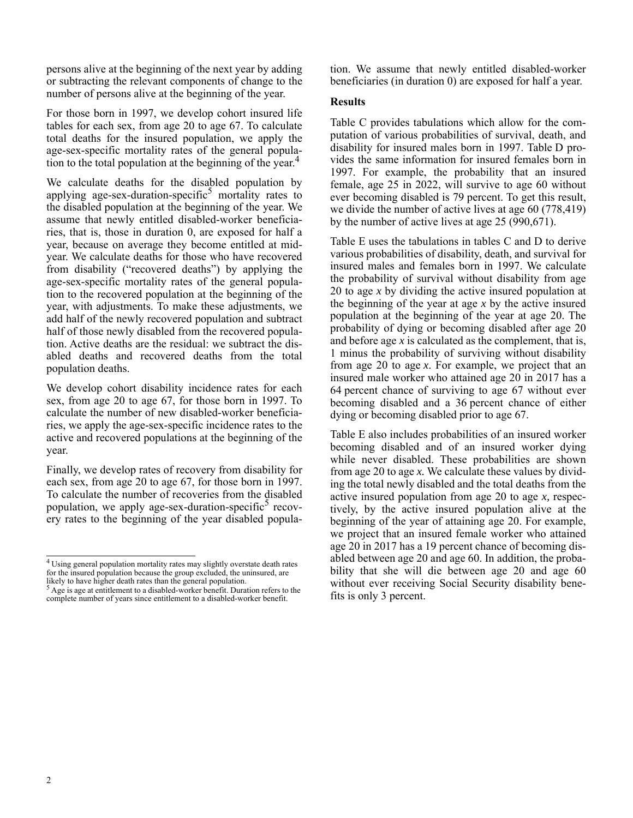persons alive at the beginning of the next year by adding or subtracting the relevant components of change to the number of persons alive at the beginning of the year.

For those born in 1997, we develop cohort insured life tables for each sex, from age 20 to age 67. To calculate total deaths for the insured population, we apply the age-sex-specific mortality rates of the general population to the total population at the beginning of the year.<sup>4</sup>

We calculate deaths for the disabled population by applying age-sex-duration-specific<sup>5</sup> mortality rates to the disabled population at the beginning of the year. We assume that newly entitled disabled-worker beneficiaries, that is, those in duration 0, are exposed for half a year, because on average they become entitled at midyear. We calculate deaths for those who have recovered from disability ("recovered deaths") by applying the age-sex-specific mortality rates of the general population to the recovered population at the beginning of the year, with adjustments. To make these adjustments, we add half of the newly recovered population and subtract half of those newly disabled from the recovered population. Active deaths are the residual: we subtract the disabled deaths and recovered deaths from the total population deaths.

We develop cohort disability incidence rates for each sex, from age 20 to age 67, for those born in 1997. To calculate the number of new disabled-worker beneficiaries, we apply the age-sex-specific incidence rates to the active and recovered populations at the beginning of the year.

Finally, we develop rates of recovery from disability for each sex, from age 20 to age 67, for those born in 1997. To calculate the number of recoveries from the disabled population, we apply age-sex-duration-specific<sup>5</sup> recovery rates to the beginning of the year disabled popula-

tion. We assume that newly entitled disabled-worker beneficiaries (in duration 0) are exposed for half a year.

### **Results**

Table C provides tabulations which allow for the computation of various probabilities of survival, death, and disability for insured males born in 1997. Table D provides the same information for insured females born in 1997. For example, the probability that an insured female, age 25 in 2022, will survive to age 60 without ever becoming disabled is 79 percent. To get this result, we divide the number of active lives at age 60 (778,419) by the number of active lives at age 25 (990,671).

Table E uses the tabulations in tables C and D to derive various probabilities of disability, death, and survival for insured males and females born in 1997. We calculate the probability of survival without disability from age 20 to age *x* by dividing the active insured population at the beginning of the year at age *x* by the active insured population at the beginning of the year at age 20. The probability of dying or becoming disabled after age 20 and before age *x* is calculated as the complement, that is, 1 minus the probability of surviving without disability from age 20 to age *x*. For example, we project that an insured male worker who attained age 20 in 2017 has a 64 percent chance of surviving to age 67 without ever becoming disabled and a 36 percent chance of either dying or becoming disabled prior to age 67.

Table E also includes probabilities of an insured worker becoming disabled and of an insured worker dying while never disabled. These probabilities are shown from age 20 to age *x.* We calculate these values by dividing the total newly disabled and the total deaths from the active insured population from age 20 to age *x,* respectively, by the active insured population alive at the beginning of the year of attaining age 20. For example, we project that an insured female worker who attained age 20 in 2017 has a 19 percent chance of becoming disabled between age 20 and age 60. In addition, the probability that she will die between age 20 and age 60 without ever receiving Social Security disability benefits is only 3 percent.

<sup>4</sup> Using general population mortality rates may slightly overstate death rates For the insured population because the group excluded, the uninsured, are from the insured population because the group excluded, the uninsured, are likely to have higher death rates than the general population.

 $<sup>5</sup>$  Age is age at entitlement to a disabled-worker benefit. Duration refers to the</sup> complete number of years since entitlement to a disabled-worker benefit.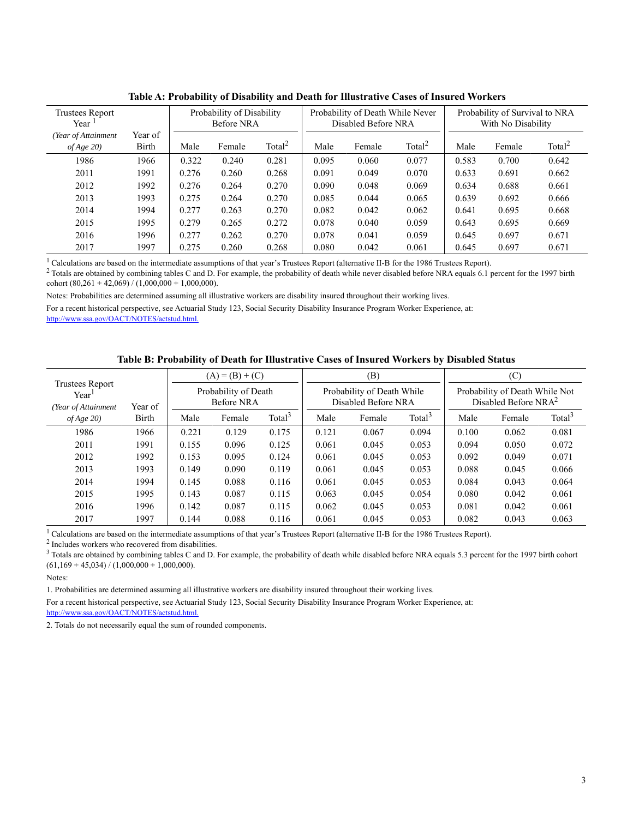| $\alpha$ bishome, and beam for massimily chose of monroe $\alpha$ critics. |                                         |       |        |                    |       |        |                                                         |                                                      |        |                    |  |  |  |
|----------------------------------------------------------------------------|-----------------------------------------|-------|--------|--------------------|-------|--------|---------------------------------------------------------|------------------------------------------------------|--------|--------------------|--|--|--|
| <b>Trustees Report</b><br>Year                                             | Probability of Disability<br>Before NRA |       |        |                    |       |        | Probability of Death While Never<br>Disabled Before NRA | Probability of Survival to NRA<br>With No Disability |        |                    |  |  |  |
| (Year of Attainment<br>of Age $20$                                         | Year of<br>Birth                        | Male  | Female | Total <sup>2</sup> | Male  | Female | Total $^2$                                              | Male                                                 | Female | Total <sup>2</sup> |  |  |  |
| 1986                                                                       | 1966                                    | 0.322 | 0.240  | 0.281              | 0.095 | 0.060  | 0.077                                                   | 0.583                                                | 0.700  | 0.642              |  |  |  |
| 2011                                                                       | 1991                                    | 0.276 | 0.260  | 0.268              | 0.091 | 0.049  | 0.070                                                   | 0.633                                                | 0.691  | 0.662              |  |  |  |
| 2012                                                                       | 1992                                    | 0.276 | 0.264  | 0.270              | 0.090 | 0.048  | 0.069                                                   | 0.634                                                | 0.688  | 0.661              |  |  |  |
| 2013                                                                       | 1993                                    | 0.275 | 0.264  | 0.270              | 0.085 | 0.044  | 0.065                                                   | 0.639                                                | 0.692  | 0.666              |  |  |  |
| 2014                                                                       | 1994                                    | 0.277 | 0.263  | 0.270              | 0.082 | 0.042  | 0.062                                                   | 0.641                                                | 0.695  | 0.668              |  |  |  |
| 2015                                                                       | 1995                                    | 0.279 | 0.265  | 0.272              | 0.078 | 0.040  | 0.059                                                   | 0.643                                                | 0.695  | 0.669              |  |  |  |
| 2016                                                                       | 1996                                    | 0.277 | 0.262  | 0.270              | 0.078 | 0.041  | 0.059                                                   | 0.645                                                | 0.697  | 0.671              |  |  |  |
| 2017                                                                       | 1997                                    | 0.275 | 0.260  | 0.268              | 0.080 | 0.042  | 0.061                                                   | 0.645                                                | 0.697  | 0.671              |  |  |  |

**Table A: Probability of Disability and Death for Illustrative Cases of Insured Workers**

 $1$  Calculations are based on the intermediate assumptions of that year's Trustees Report (alternative II-B for the 1986 Trustees Report).

<sup>2</sup> Totals are obtained by combining tables C and D. For example, the probability of death while never disabled before NRA equals 6.1 percent for the 1997 birth cohort  $(80,261 + 42,069) / (1,000,000 + 1,000,000)$ .

Notes: Probabilities are determined assuming all illustrative workers are disability insured throughout their working lives.

For a recent historical perspective, see Actuarial Study 123, Social Security Disability Insurance Program Worker Experience, at: http://www.ssa.gov/OACT/NOTES/actstud.html.

#### **Table B: Probability of Death for Illustrative Cases of Insured Workers by Disabled Status**

|                                                       |         |       | $(A) = (B) + (C)$                  |                    |       | (B)                                               |                    | (C)                                                       |        |                    |  |
|-------------------------------------------------------|---------|-------|------------------------------------|--------------------|-------|---------------------------------------------------|--------------------|-----------------------------------------------------------|--------|--------------------|--|
| <b>Trustees Report</b><br>Year<br>(Year of Attainment | Year of |       | Probability of Death<br>Before NRA |                    |       | Probability of Death While<br>Disabled Before NRA |                    | Probability of Death While Not<br>Disabled Before NR $A2$ |        |                    |  |
| of Age 20                                             | Birth   | Male  | Female                             | Total <sup>3</sup> | Male  | Female                                            | Total <sup>3</sup> | Male                                                      | Female | Total <sup>3</sup> |  |
| 1986                                                  | 1966    | 0.221 | 0.129                              | 0.175              | 0.121 | 0.067                                             | 0.094              | 0.100                                                     | 0.062  | 0.081              |  |
| 2011                                                  | 1991    | 0.155 | 0.096                              | 0.125              | 0.061 | 0.045                                             | 0.053              | 0.094                                                     | 0.050  | 0.072              |  |
| 2012                                                  | 1992    | 0.153 | 0.095                              | 0.124              | 0.061 | 0.045                                             | 0.053              | 0.092                                                     | 0.049  | 0.071              |  |
| 2013                                                  | 1993    | 0.149 | 0.090                              | 0.119              | 0.061 | 0.045                                             | 0.053              | 0.088                                                     | 0.045  | 0.066              |  |
| 2014                                                  | 1994    | 0.145 | 0.088                              | 0.116              | 0.061 | 0.045                                             | 0.053              | 0.084                                                     | 0.043  | 0.064              |  |
| 2015                                                  | 1995    | 0.143 | 0.087                              | 0.115              | 0.063 | 0.045                                             | 0.054              | 0.080                                                     | 0.042  | 0.061              |  |
| 2016                                                  | 1996    | 0.142 | 0.087                              | 0.115              | 0.062 | 0.045                                             | 0.053              | 0.081                                                     | 0.042  | 0.061              |  |
| 2017                                                  | 1997    | 0.144 | 0.088                              | 0.116              | 0.061 | 0.045                                             | 0.053              | 0.082                                                     | 0.043  | 0.063              |  |

<sup>1</sup> Calculations are based on the intermediate assumptions of that year's Trustees Report (alternative II-B for the 1986 Trustees Report).

2 Includes workers who recovered from disabilities.

<sup>3</sup> Totals are obtained by combining tables C and D. For example, the probability of death while disabled before NRA equals 5.3 percent for the 1997 birth cohort  $(61,169 + 45,034) / (1,000,000 + 1,000,000)$ .

Notes:

1. Probabilities are determined assuming all illustrative workers are disability insured throughout their working lives.

For a recent historical perspective, see Actuarial Study 123, Social Security Disability Insurance Program Worker Experience, at:

http://www.ssa.gov/OACT/NOTES/actstud.html.

2. Totals do not necessarily equal the sum of rounded components.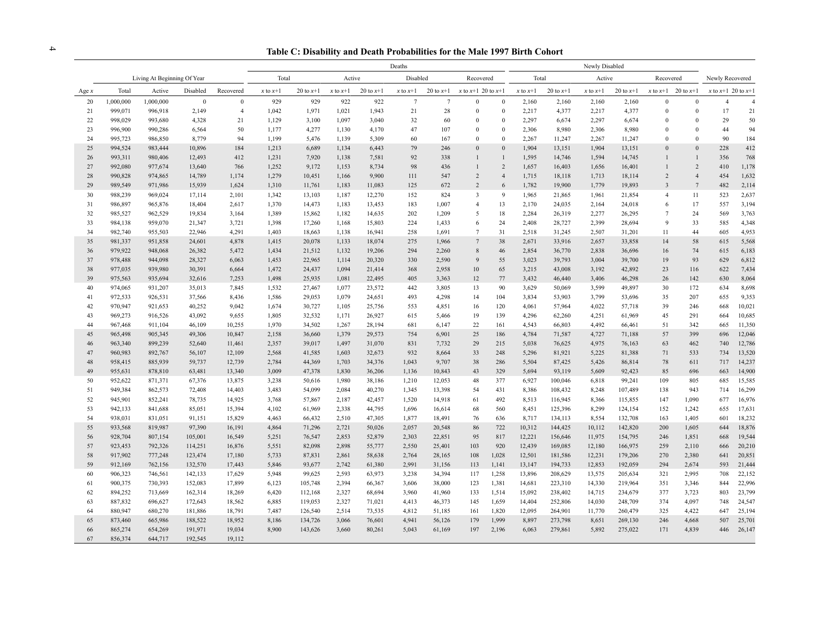<sup>4</sup> **Table C: Disability and Death Probabilities for the Male 1997 Birth Cohort**

|         |           |                             |              |                | Deaths                                   |             |              |             |                 | Newly Disabled  |                        |                  |              |             |              |                 |                         |                        |                        |        |
|---------|-----------|-----------------------------|--------------|----------------|------------------------------------------|-------------|--------------|-------------|-----------------|-----------------|------------------------|------------------|--------------|-------------|--------------|-----------------|-------------------------|------------------------|------------------------|--------|
|         |           | Living At Beginning Of Year |              |                | Total<br>Disabled<br>Active<br>Recovered |             |              |             |                 | Total           |                        | Active           |              | Recovered   |              | Newly Recovered |                         |                        |                        |        |
| Age $x$ | Total     | Active                      | Disabled     | Recovered      | $x$ to $x+1$                             | 20 to $x+1$ | $x$ to $x+1$ | 20 to $x+1$ | $x$ to $x+1$    | 20 to $x+1$     | x to $x+1$ 20 to $x+1$ |                  | $x$ to $x+1$ | 20 to $x+1$ | $x$ to $x+1$ | 20 to $x+1$     |                         | x to $x+1$ 20 to $x+1$ | x to $x+1$ 20 to $x+1$ |        |
| 20      | 1,000,000 | 1,000,000                   | $\mathbf{0}$ | $\mathbf{0}$   | 929                                      | 929         | 922          | 922         | $7\phantom{.0}$ | $7\phantom{.0}$ | $\Omega$               | $\mathbf{0}$     | 2,160        | 2,160       | 2,160        | 2,160           | $\mathbf{0}$            | $\mathbf{0}$           | $\overline{4}$         |        |
| 21      | 999,071   | 996,918                     | 2,149        | $\overline{4}$ | 1,042                                    | 1,971       | 1,021        | 1,943       | 21              | 28              | $\Omega$               | $\boldsymbol{0}$ | 2,217        | 4,377       | 2,217        | 4,377           | $\mathbf{0}$            | $\mathbf{0}$           | 17                     | 21     |
| 22      | 998,029   | 993,680                     | 4,328        | 21             | 1,129                                    | 3,100       | 1,097        | 3,040       | 32              | 60              | $\Omega$               | $\mathbf{0}$     | 2,297        | 6,674       | 2,297        | 6,674           | $\mathbf{0}$            | $\theta$               | 29                     | 50     |
| 23      | 996,900   | 990,286                     | 6,564        | 50             | 1,177                                    | 4,277       | 1,130        | 4,170       | 47              | 107             | $\Omega$               | $\mathbf{0}$     | 2,306        | 8,980       | 2,306        | 8,980           | $\mathbf{0}$            | $\theta$               | 44                     | 94     |
| 24      | 995,723   | 986,850                     | 8,779        | 94             | 1.199                                    | 5,476       | 1,139        | 5,309       | 60              | 167             | $\mathbf{0}$           | $\mathbf{0}$     | 2,267        | 11,247      | 2,267        | 11,247          | $\mathbf{0}$            | $\mathbf{0}$           | 90                     | 184    |
| 25      | 994,524   | 983,444                     | 10,896       | 184            | 1,213                                    | 6,689       | 1,134        | 6,443       | 79              | 246             | $\Omega$               | $\mathbf{0}$     | 1,904        | 13,151      | 1,904        | 13,151          | $\Omega$                | $\mathbf{0}$           | 228                    | 412    |
| 26      | 993,311   | 980,406                     | 12,493       | 412            | 1,231                                    | 7,920       | 1,138        | 7,581       | 92              | 338             | $\mathbf{1}$           | $\mathbf{1}$     | 1,595        | 14,746      | 1,594        | 14,745          | $\overline{1}$          | $\mathbf{1}$           | 356                    | 768    |
| 27      | 992,080   | 977,674                     | 13,640       | 766            | 1,252                                    | 9,172       | 1,153        | 8,734       | 98              | 436             | $\mathbf{1}$           | $\sqrt{2}$       | 1,657        | 16,403      | 1,656        | 16,401          | $\mathbf{1}$            | $\overline{c}$         | 410                    | 1,178  |
| 28      | 990,828   | 974,865                     | 14,789       | 1,174          | 1,279                                    | 10,451      | 1,166        | 9,900       | 111             | 547             | 2                      | $\overline{4}$   | 1,715        | 18,118      | 1,713        | 18,114          | 2                       | $\overline{4}$         | 454                    | 1,632  |
| 29      | 989,549   | 971,986                     | 15,939       | 1,624          | 1,310                                    | 11,761      | 1,183        | 11,083      | 125             | 672             | $\overline{c}$         | 6                | 1,782        | 19,900      | 1,779        | 19,893          | $\overline{\mathbf{3}}$ | $7\phantom{.0}$        | 482                    | 2,114  |
| 30      | 988,239   | 969,024                     | 17,114       | 2,101          | 1,342                                    | 13,103      | 1,187        | 12,270      | 152             | 824             | 3                      | 9                | 1,965        | 21,865      | 1,961        | 21,854          | $\overline{4}$          | 11                     | 523                    | 2,637  |
| 31      | 986,897   | 965,876                     | 18,404       | 2,617          | 1,370                                    | 14,473      | 1,183        | 13,453      | 183             | 1,007           | $\overline{4}$         | 13               | 2,170        | 24,035      | 2,164        | 24,018          | 6                       | 17                     | 557                    | 3,194  |
| 32      | 985,527   | 962,529                     | 19,834       | 3,164          | 1,389                                    | 15,862      | 1,182        | 14,635      | 202             | 1,209           | 5                      | 18               | 2,284        | 26,319      | 2,277        | 26,295          | $7\overline{ }$         | 24                     | 569                    | 3,763  |
| 33      | 984,138   | 959,070                     | 21,347       | 3,721          | 1,398                                    | 17,260      | 1,168        | 15,803      | 224             | 1,433           | 6                      | 24               | 2,408        | 28,727      | 2,399        | 28,694          | 9                       | 33                     | 585                    | 4,348  |
| 34      | 982,740   | 955,503                     | 22,946       | 4,291          | 1,403                                    | 18,663      | 1,138        | 16,941      | 258             | 1,691           | $\tau$                 | 31               | 2,518        | 31,245      | 2,507        | 31,201          | 11                      | 44                     | 605                    | 4,953  |
| 35      | 981,337   | 951,858                     | 24,601       | 4,878          | 1,415                                    | 20,078      | 1,133        | 18,074      | 275             | 1,966           | $\tau$                 | 38               | 2,671        | 33,916      | 2,657        | 33,858          | 14                      | 58                     | 615                    | 5,568  |
| 36      | 979,922   | 948,068                     | 26,382       | 5,472          | 1,434                                    | 21,512      | 1,132        | 19,206      | 294             | 2,260           | $8\,$                  | 46               | 2,854        | 36,770      | 2,838        | 36,696          | 16                      | 74                     | 615                    | 6,183  |
| 37      | 978,488   | 944,098                     | 28,327       | 6,063          | 1,453                                    | 22,965      | 1,114        | 20,320      | 330             | 2,590           | 9                      | 55               | 3,023        | 39,793      | 3,004        | 39,700          | 19                      | 93                     | 629                    | 6,812  |
| 38      | 977,035   | 939,980                     | 30,391       | 6,664          | 1,472                                    | 24,437      | 1,094        | 21,414      | 368             | 2,958           | 10                     | 65               | 3,215        | 43,008      | 3,192        | 42,892          | 23                      | 116                    | 622                    | 7,434  |
| 39      | 975,563   | 935,694                     | 32,616       | 7,253          | 1,498                                    | 25,935      | 1,081        | 22,495      | 405             | 3,363           | 12                     | 77               | 3,432        | 46,440      | 3,406        | 46,298          | 26                      | 142                    | 630                    | 8,064  |
| 40      | 974,065   | 931,207                     | 35,013       | 7,845          | 1,532                                    | 27,467      | 1,077        | 23,572      | 442             | 3,805           | 13                     | 90               | 3,629        | 50,069      | 3,599        | 49,897          | 30                      | 172                    | 634                    | 8,698  |
| 41      | 972,533   | 926,531                     | 37,566       | 8,436          | 1,586                                    | 29,053      | 1,079        | 24,651      | 493             | 4,298           | 14                     | 104              | 3,834        | 53,903      | 3,799        | 53,696          | 35                      | 207                    | 655                    | 9,353  |
| 42      | 970,947   | 921,653                     | 40,252       | 9,042          | 1,674                                    | 30,727      | 1,105        | 25,756      | 553             | 4,851           | 16                     | 120              | 4,061        | 57,964      | 4,022        | 57,718          | 39                      | 246                    | 668                    | 10,021 |
| 43      | 969,273   | 916,526                     | 43,092       | 9,655          | 1,805                                    | 32,532      | 1,171        | 26,927      | 615             | 5,466           | 19                     | 139              | 4,296        | 62,260      | 4,251        | 61,969          | 45                      | 291                    | 664                    | 10,685 |
| 44      | 967,468   | 911,104                     | 46,109       | 10,255         | 1,970                                    | 34,502      | 1,267        | 28,194      | 681             | 6,147           | 22                     | 161              | 4,543        | 66,803      | 4,492        | 66,461          | 51                      | 342                    | 665                    | 11,350 |
| 45      | 965,498   | 905,345                     | 49,306       | 10,847         | 2,158                                    | 36,660      | 1,379        | 29,573      | 754             | 6,901           | 25                     | 186              | 4,784        | 71,587      | 4,727        | 71,188          | 57                      | 399                    | 696                    | 12,046 |
| 46      | 963,340   | 899,239                     | 52,640       | 11,461         | 2,357                                    | 39,017      | 1,497        | 31,070      | 831             | 7,732           | 29                     | 215              | 5,038        | 76,625      | 4,975        | 76,163          | 63                      | 462                    | 740                    | 12,786 |
| 47      | 960,983   | 892,767                     | 56,107       | 12,109         | 2,568                                    | 41,585      | 1,603        | 32,673      | 932             | 8,664           | 33                     | 248              | 5,296        | 81,921      | 5,225        | 81,388          | 71                      | 533                    | 734                    | 13,520 |
| 48      | 958,415   | 885,939                     | 59,737       | 12,739         | 2,784                                    | 44,369      | 1,703        | 34,376      | 1,043           | 9,707           | 38                     | 286              | 5,504        | 87,425      | 5,426        | 86,814          | 78                      | 611                    | 717                    | 14,237 |
| 49      | 955,631   | 878,810                     | 63,481       | 13,340         | 3,009                                    | 47,378      | 1,830        | 36,206      | 1,136           | 10,843          | 43                     | 329              | 5,694        | 93,119      | 5,609        | 92,423          | 85                      | 696                    | 663                    | 14,900 |
| 50      | 952,622   | 871,371                     | 67,376       | 13,875         | 3,238                                    | 50,616      | 1,980        | 38,186      | 1,210           | 12,053          | 48                     | 377              | 6,927        | 100,046     | 6,818        | 99,241          | 109                     | 805                    | 685                    | 15,585 |
| 51      | 949,384   | 862,573                     | 72,408       | 14,403         | 3,483                                    | 54,099      | 2,084        | 40,270      | 1,345           | 13,398          | 54                     | 431              | 8,386        | 108,432     | 8,248        | 107,489         | 138                     | 943                    | 714                    | 16,299 |
| 52      | 945,901   | 852,241                     | 78,735       | 14,925         | 3,768                                    | 57,867      | 2,187        | 42,457      | 1,520           | 14,918          | 61                     | 492              | 8,513        | 116,945     | 8,366        | 115,855         | 147                     | 1,090                  | 677                    | 16,976 |
| 53      | 942,133   | 841,688                     | 85,051       | 15,394         | 4,102                                    | 61,969      | 2,338        | 44,795      | 1,696           | 16,614          | 68                     | 560              | 8,451        | 125,396     | 8,299        | 124,154         | 152                     | 1,242                  | 655                    | 17,631 |
| 54      | 938,031   | 831,051                     | 91,151       | 15,829         | 4,463                                    | 66,432      | 2,510        | 47,305      | 1,877           | 18,491          | 76                     | 636              | 8,717        | 134,113     | 8,554        | 132,708         | 163                     | 1,405                  | 601                    | 18,232 |
| 55      | 933,568   | 819,987                     | 97,390       | 16,191         | 4,864                                    | 71,296      | 2,721        | 50,026      | 2,057           | 20,548          | 86                     | 722              | 10,312       | 144,425     | 10,112       | 142,820         | 200                     | 1,605                  | 644                    | 18,876 |
| 56      | 928,704   | 807,154                     | 105,001      | 16,549         | 5,251                                    | 76,547      | 2,853        | 52,879      | 2,303           | 22,851          | 95                     | 817              | 12,221       | 156,646     | 11,975       | 154,795         | 246                     | 1,851                  | 668                    | 19,544 |
| 57      | 923,453   | 792,326                     | 114,251      | 16,876         | 5,551                                    | 82,098      | 2,898        | 55,777      | 2,550           | 25,401          | 103                    | 920              | 12,439       | 169,085     | 12,180       | 166,975         | 259                     | 2,110                  | 666                    | 20,210 |
| 58      | 917,902   | 777,248                     | 123,474      | 17,180         | 5,733                                    | 87,831      | 2,861        | 58,638      | 2,764           | 28,165          | 108                    | 1,028            | 12,501       | 181,586     | 12,231       | 179,206         | 270                     | 2,380                  | 641                    | 20,851 |
| 59      | 912,169   | 762,156                     | 132,570      | 17,443         | 5,846                                    | 93,677      | 2,742        | 61,380      | 2,991           | 31,156          | 113                    | 1,141            | 13,147       | 194,733     | 12,853       | 192,059         | 294                     | 2,674                  | 593                    | 21,444 |
| 60      | 906,323   | 746,561                     | 142,133      | 17,629         | 5,948                                    | 99,625      | 2,593        | 63,973      | 3,238           | 34,394          | 117                    | 1,258            | 13,896       | 208,629     | 13,575       | 205,634         | 321                     | 2,995                  | 708                    | 22,152 |
| 61      | 900,375   | 730,393                     | 152,083      | 17,899         | 6,123                                    | 105,748     | 2,394        | 66,367      | 3,606           | 38,000          | 123                    | 1,381            | 14,681       | 223,310     | 14,330       | 219,964         | 351                     | 3,346                  | 844                    | 22,996 |
| 62      | 894,252   | 713,669                     | 162,314      | 18,269         | 6,420                                    | 112,168     | 2,327        | 68,694      | 3,960           | 41,960          | 133                    | 1,514            | 15,092       | 238,402     | 14,715       | 234,679         | 377                     | 3,723                  | 803                    | 23,799 |
| 63      | 887,832   | 696,627                     | 172,643      | 18,562         | 6,885                                    | 119,053     | 2,327        | 71,021      | 4,413           | 46,373          | 145                    | 1,659            | 14,404       | 252,806     | 14,030       | 248,709         | 374                     | 4,097                  | 748                    | 24,547 |
| 64      | 880,947   | 680,270                     | 181,886      | 18,791         | 7,487                                    | 126,540     | 2,514        | 73,535      | 4,812           | 51,185          | 161                    | 1,820            | 12,095       | 264,901     | 11,770       | 260,479         | 325                     | 4,422                  | 647                    | 25,194 |
| 65      | 873,460   | 665,986                     | 188,522      | 18,952         | 8,186                                    | 134,726     | 3,066        | 76,601      | 4,941           | 56,126          | 179                    | 1,999            | 8,897        | 273,798     | 8,651        | 269,130         | 246                     | 4,668                  | 507                    | 25,701 |
| 66      | 865,274   | 654,269                     | 191,971      | 19,034         | 8,900                                    | 143,626     | 3,660        | 80,261      | 5,043           | 61,169          | 197                    | 2,196            | 6,063        | 279,861     | 5,892        | 275,022         | 171                     | 4,839                  | 446                    | 26,147 |
| 67      | 856,374   | 644,717                     | 192.545      | 19,112         |                                          |             |              |             |                 |                 |                        |                  |              |             |              |                 |                         |                        |                        |        |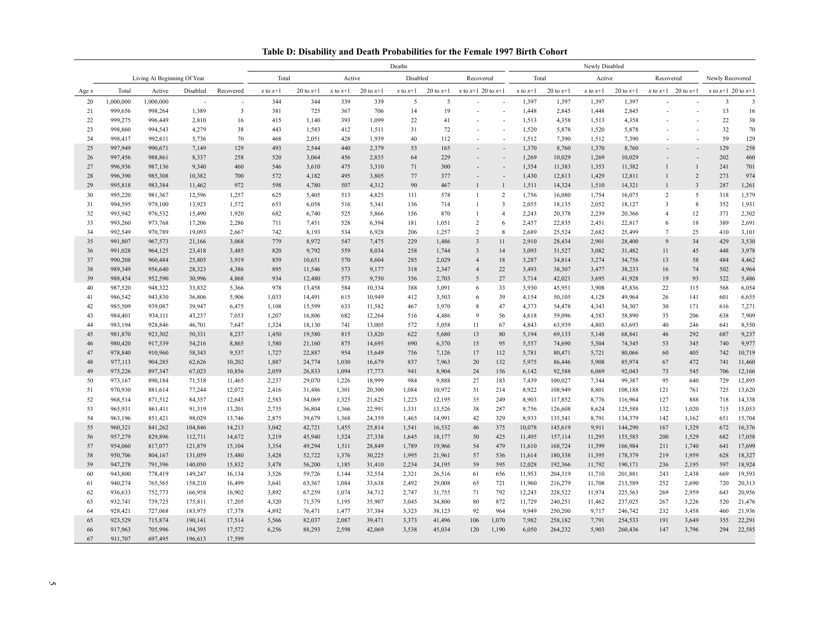| Table D: Disability and Death Probabilities for the Female 1997 Birth Cohort |  |  |
|------------------------------------------------------------------------------|--|--|
|                                                                              |  |  |

|          |                    |                             |                  |                          | Deaths                                   |                  |                |                  |              | Newly Disabled |                        |                          |                |                  |                 |                  |                          |                          |                         |                         |
|----------|--------------------|-----------------------------|------------------|--------------------------|------------------------------------------|------------------|----------------|------------------|--------------|----------------|------------------------|--------------------------|----------------|------------------|-----------------|------------------|--------------------------|--------------------------|-------------------------|-------------------------|
|          |                    | Living At Beginning Of Year |                  |                          | Total<br>Disabled<br>Active<br>Recovered |                  |                |                  | Total        |                | Active                 |                          | Recovered      |                  | Newly Recovered |                  |                          |                          |                         |                         |
| Age $x$  | Total              | Active                      | Disabled         | Recovered                | $x$ to $x+1$                             | 20 to $x+1$      | $x$ to $x+1$   | 20 to $x+1$      | $x$ to $x+1$ | 20 to $x+1$    | x to $x+1$ 20 to $x+1$ |                          | $x$ to $x+1$   | 20 to $x+1$      | $x$ to $x+1$    | 20 to $x+1$      | $x$ to $x+1$             | 20 to $x+1$              | x to $x+1$ 20 to $x+1$  |                         |
| 20       | 1,000,000          | 1,000,000                   |                  | $\overline{\phantom{a}}$ | 344                                      | 344              | 339            | 339              | 5            | 5              |                        |                          | 1,397          | 1,397            | 1,397           | 1,397            |                          |                          | $\overline{\mathbf{3}}$ | $\overline{\mathbf{3}}$ |
| 21       | 999,656            | 998,264                     | 1,389            | $\overline{\mathbf{3}}$  | 381                                      | 725              | 367            | 706              | 14           | 19             |                        | ÷,                       | 1,448          | 2,845            | 1,448           | 2,845            |                          | ÷                        | 13                      | 16                      |
| 22       | 999,275            | 996,449                     | 2,810            | 16                       | 415                                      | 1,140            | 393            | 1,099            | 22           | 41             | $\sim$                 | $\sim$                   | 1,513          | 4,358            | 1,513           | 4,358            | $\overline{\phantom{a}}$ | ÷                        | 22                      | 38                      |
| 23       | 998,860            | 994,543                     | 4,279            | 38                       | 443                                      | 1,583            | 412            | 1,511            | 31           | 72             |                        | L,                       | 1,520          | 5,878            | 1,520           | 5,878            |                          | ÷,                       | 32                      | 70                      |
| 24       | 998,417            | 992,611                     | 5,736            | 70                       | 468                                      | 2,051            | 428            | 1,939            | 40           | 112            | $\sim$                 | $\overline{\phantom{a}}$ | 1,512          | 7,390            | 1,512           | 7,390            | $\overline{\phantom{a}}$ | $\overline{\phantom{a}}$ | 59                      | 129                     |
| 25       | 997,949            | 990,671                     | 7,149            | 129                      | 493                                      | 2,544            | 440            | 2,379            | 53           | 165            |                        | $\overline{a}$           | 1,370          | 8,760            | 1,370           | 8,760            |                          | $\overline{a}$           | 129                     | 258                     |
| 26       | 997,456            | 988,861                     | 8,337            | 258                      | 520                                      | 3,064            | 456            | 2,835            | 64           | 229            |                        | L,                       | 1,269          | 10,029           | 1,269           | 10,029           |                          | $\overline{a}$           | 202                     | 460                     |
| 27       | 996,936            | 987,136                     | 9,340            | 460                      | 546                                      | 3,610            | 475            | 3,310            | 71           | 300            |                        |                          | 1,354          | 11,383           | 1,353           | 11,382           | $\mathbf{1}$             | $\overline{1}$           | 241                     | 701                     |
| 28       | 996,390            | 985,308                     | 10,382           | 700                      | 572                                      | 4,182            | 495            | 3,805            | 77           | 377            |                        | L,                       | 1,430          | 12,813           | 1,429           | 12,811           | $\mathbf{1}$             | $\overline{2}$           | 273                     | 974                     |
| 29       | 995,818            | 983,384                     | 11,462           | 972                      | 598                                      | 4,780            | 507            | 4,312            | 90           | 467            | $\mathbf{1}$           | $\overline{1}$           | 1,511          | 14,324           | 1,510           | 14,321           | $\mathbf{1}$             | $\overline{\mathbf{3}}$  | 287                     | 1,261                   |
| 30       | 995,220            | 981,367                     | 12,596           | 1,257                    | 625                                      | 5,405            | 513            | 4,825            | 111          | 578            | $\mathbf{1}$           | $\overline{2}$           | 1,756          | 16,080           | 1,754           | 16,075           | $\overline{c}$           | 5                        | 318                     | 1,579                   |
| 31       | 994,595            | 979,100                     | 13,923           | 1,572                    | 653                                      | 6,058            | 516            | 5,341            | 136          | 714            | $\mathbf{1}$           | $\overline{3}$           | 2,055          | 18,135           | 2,052           | 18,127           | $\overline{\mathbf{3}}$  | $\,8\,$                  | 352                     | 1,931                   |
| 32       | 993,942            | 976,532                     | 15,490           | 1,920                    | 682                                      | 6,740            | 525            | 5,866            | 156          | 870            | $\mathbf{1}$           | $\overline{4}$           | 2,243          | 20,378           | 2,239           | 20,366           | $\overline{4}$           | 12                       | 371                     | 2,302                   |
| 33       | 993,260            | 973,768                     | 17,206           | 2,286                    | 711                                      | 7,451            | 528            | 6,394            | 181          | 1,051          | $\overline{c}$         | $\sqrt{6}$               | 2,457          | 22,835           | 2,451           | 22,817           | 6                        | 18                       | 389                     | 2,691                   |
| 34       | 992,549            | 970,789                     | 19,093           | 2,667                    | 742                                      | 8,193            | 534            | 6,928            | 206          | 1,257          | $\overline{c}$         | $\overline{8}$           | 2,689          | 25,524           | 2,682           | 25,499           | $\overline{7}$           | 25                       | 410                     | 3,101                   |
| 35       | 991,807            | 967,573                     | 21,166           | 3,068                    | 779                                      | 8,972            | 547            | 7,475            | 229          | 1,486          | $\overline{3}$         | 11                       | 2,910          | 28,434           | 2,901           | 28,400           | 9                        | 34                       | 429                     | 3,530                   |
| 36       | 991,028            | 964,125                     | 23,418           | 3,485                    | 820                                      | 9,792            | 559            | 8,034            | 258          | 1,744          | $\overline{3}$         | 14                       | 3,093          | 31,527           | 3,082           | 31,482           | 11                       | 45                       | 448                     | 3,978                   |
| 37       | 990,208            | 960,484                     | 25,805           | 3,919                    | 859                                      | 10,651           | 570            | 8,604            | 285          | 2,029          | $\overline{4}$         | 18                       | 3,287          | 34,814           | 3,274           | 34,756           | 13                       | 58                       | 484                     | 4,462                   |
| 38       | 989,349            | 956,640                     | 28,323           | 4,386                    | 895                                      | 11,546           | 573            | 9,177            | 318          | 2,347          | $\overline{4}$         | 22                       | 3,493          | 38,307           | 3,477           | 38,233           | 16                       | 74                       | 502                     | 4,964                   |
| 39       | 988,454            | 952,590                     | 30,996           | 4,868                    | 934                                      | 12,480           | 573            | 9,750            | 356          | 2,703          | 5                      | 27                       | 3,714          | 42,021           | 3,695           | 41,928           | 19                       | 93                       | 522                     | 5,486                   |
| 40       | 987,520            | 948,322                     | 33,832           | 5,366                    | 978                                      | 13,458           | 584            | 10,334           | 388          | 3,091          | 6                      | 33                       | 3,930          | 45,951           | 3,908           | 45,836           | 22                       | 115                      | 568                     | 6,054                   |
| 41       | 986,542            | 943,830                     | 36,806           | 5,906                    | 1,033                                    | 14,491           | 615            | 10,949           | 412          | 3,503          | 6                      | 39                       | 4,154          | 50,105           | 4,128           | 49,964           | 26                       | 141                      | 601                     | 6,655                   |
| 42       | 985,509            | 939,087                     | 39,947           | 6,475                    | 1,108                                    | 15,599           | 633            | 11,582           | 467          | 3,970          | 8                      | 47                       | 4,373          | 54,478           | 4,343           | 54,307           | 30                       | 171                      | 616                     | 7,271                   |
| 43       | 984,401            | 934,111                     | 43,237           | 7,053                    | 1,207                                    | 16,806           | 682            | 12,264           | 516          | 4,486          | 9                      | 56                       | 4,618          | 59,096           | 4,583           | 58,890           | 35                       | 206                      | 638                     | 7,909                   |
| 44       | 983,194            | 928,846                     | 46,701           | 7,647                    | 1,324                                    | 18,130           | 741            | 13,005           | 572          | 5,058          | 11                     | 67                       | 4,843          | 63,939           | 4,803           | 63,693           | 40                       | 246                      | 641                     | 8,550                   |
| 45       | 981,870            | 923,302                     | 50,331           | 8,237                    | 1,450                                    | 19,580           | 815            | 13,820           | 622          | 5,680          | 13                     | 80                       | 5,194          | 69,133           | 5,148           | 68,841           | 46                       | 292                      | 687                     | 9,237                   |
| 46       | 980,420            | 917,339                     | 54,216           | 8,865                    | 1,580                                    | 21,160           | 875            | 14,695           | 690          | 6,370          | 15                     | 95                       | 5,557          | 74,690           | 5,504           | 74,345           | 53                       | 345                      | 740                     | 9,977                   |
| 47       | 978,840            | 910,960                     | 58,343           | 9,537                    | 1,727                                    | 22,887           | 954            | 15,649           | 756          | 7,126          | 17                     | 112                      | 5,781          | 80,471           | 5,721           | 80,066           | 60                       | 405                      | 742<br>741              | 10,719                  |
| 48<br>49 | 977,113<br>975,226 | 904,285<br>897,347          | 62,626<br>67,023 | 10,202<br>10,856         | 1,887<br>2,059                           | 24,774<br>26,833 | 1,030<br>1,094 | 16,679<br>17,773 | 837<br>941   | 7,963<br>8,904 | 20<br>24               | 132<br>156               | 5,975<br>6,142 | 86,446<br>92,588 | 5,908<br>6,069  | 85,974<br>92,043 | 67<br>73                 | 472<br>545               | 706                     | 11,460<br>12,166        |
| 50       | 973,167            | 890,184                     | 71,518           | 11,465                   | 2,237                                    | 29,070           | 1,226          | 18,999           | 984          | 9,888          | 27                     | 183                      | 7,439          | 100,027          | 7,344           | 99,387           | 95                       | 640                      | 729                     | 12,895                  |
| 51       | 970,930            | 881,614                     | 77,244           | 12,072                   | 2,416                                    | 31,486           | 1,301          | 20,300           | 1,084        | 10,972         | 31                     | 214                      | 8,922          | 108,949          | 8,801           | 108,188          | 121                      | 761                      | 725                     | 13,620                  |
| 52       | 968,514            | 871,512                     | 84,357           | 12,645                   | 2,583                                    | 34,069           | 1,325          | 21,625           | 1,223        | 12,195         | 35                     | 249                      | 8,903          | 117,852          | 8,776           | 116,964          | 127                      | 888                      | 718                     | 14,338                  |
| 53       | 965,931            | 861,411                     | 91,319           | 13,201                   | 2,735                                    | 36,804           | 1,366          | 22,991           | 1,331        | 13,526         | 38                     | 287                      | 8,756          | 126,608          | 8,624           | 125,588          | 132                      | 1,020                    | 715                     | 15,053                  |
| 54       | 963,196            | 851,421                     | 98,029           | 13,746                   | 2,875                                    | 39,679           | 1,368          | 24,359           | 1,465        | 14,991         | 42                     | 329                      | 8,933          | 135,541          | 8,791           | 134,379          | 142                      | 1,162                    | 651                     | 15,704                  |
| 55       | 960,321            | 841,262                     | 104,846          | 14,213                   | 3,042                                    | 42,721           | 1,455          | 25,814           | 1,541        | 16,532         | 46                     | 375                      | 10,078         | 145,619          | 9,911           | 144,290          | 167                      | 1,329                    | 672                     | 16,376                  |
| 56       | 957,279            | 829,896                     | 112,711          | 14,672                   | 3,219                                    | 45,940           | 1,524          | 27,338           | 1,645        | 18,177         | 50                     | 425                      | 11,495         | 157,114          | 11,295          | 155,585          | 200                      | 1,529                    | 682                     | 17,058                  |
| 57       | 954,060            | 817,077                     | 121,879          | 15,104                   | 3,354                                    | 49,294           | 1,511          | 28,849           | 1,789        | 19,966         | 54                     | 479                      | 11,610         | 168,724          | 11,399          | 166,984          | 211                      | 1,740                    | 641                     | 17,699                  |
| 58       | 950,706            | 804,167                     | 131,059          | 15,480                   | 3,428                                    | 52,722           | 1,376          | 30,225           | 1,995        | 21,961         | 57                     | 536                      | 11,614         | 180,338          | 11,395          | 178,379          | 219                      | 1,959                    | 628                     | 18,327                  |
| 59       | 947,278            | 791,396                     | 140,050          | 15,832                   | 3,478                                    | 56,200           | 1,185          | 31,410           | 2,234        | 24,195         | 59                     | 595                      | 12,028         | 192,366          | 11,792          | 190,171          | 236                      | 2,195                    | 597                     | 18,924                  |
| 60       | 943,800            | 778,419                     | 149,247          | 16,134                   | 3,526                                    | 59,726           | 1,144          | 32,554           | 2,321        | 26,516         | 61                     | 656                      | 11,953         | 204,319          | 11,710          | 201,881          | 243                      | 2,438                    | 669                     | 19,593                  |
| 61       | 940,274            | 765,565                     | 158,210          | 16,499                   | 3,641                                    | 63,367           | 1,084          | 33,638           | 2,492        | 29,008         | 65                     | 721                      | 11,960         | 216,279          | 11,708          | 213,589          | 252                      | 2,690                    | 720                     | 20,313                  |
| 62       | 936,633            | 752,773                     | 166,958          | 16,902                   | 3,892                                    | 67,259           | 1,074          | 34,712           | 2,747        | 31,755         | 71                     | 792                      | 12,243         | 228,522          | 11,974          | 225,563          | 269                      | 2,959                    | 643                     | 20,956                  |
| 63       | 932,741            | 739,725                     | 175,811          | 17,205                   | 4,320                                    | 71,579           | 1,195          | 35,907           | 3,045        | 34,800         | $80\,$                 | 872                      | 11,729         | 240,251          | 11,462          | 237,025          | 267                      | 3,226                    | 520                     | 21,476                  |
| 64       | 928,421            | 727,068                     | 183,975          | 17,378                   | 4,892                                    | 76,471           | 1,477          | 37,384           | 3,323        | 38,123         | 92                     | 964                      | 9,949          | 250,200          | 9,717           | 246,742          | 232                      | 3,458                    | 460                     | 21,936                  |
| 65       | 923,529            | 715,874                     | 190,141          | 17,514                   | 5,566                                    | 82,037           | 2,087          | 39,471           | 3,373        | 41,496         | 106                    | 1,070                    | 7,982          | 258,182          | 7,791           | 254,533          | 191                      | 3,649                    | 355                     | 22,291                  |
| 66       | 917,963            | 705,996                     | 194,395          | 17,572                   | 6,256                                    | 88,293           | 2,598          | 42,069           | 3,538        | 45,034         | 120                    | 1,190                    | 6,050          | 264,232          | 5,903           | 260,436          | 147                      | 3,796                    | 294                     | 22,585                  |
| 67       | 911,707            | 697,495                     | 196,613          | 17,599                   |                                          |                  |                |                  |              |                |                        |                          |                |                  |                 |                  |                          |                          |                         |                         |